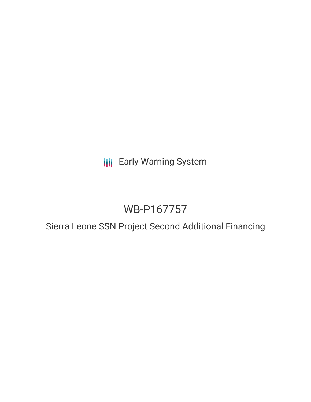## **III** Early Warning System

# WB-P167757

### Sierra Leone SSN Project Second Additional Financing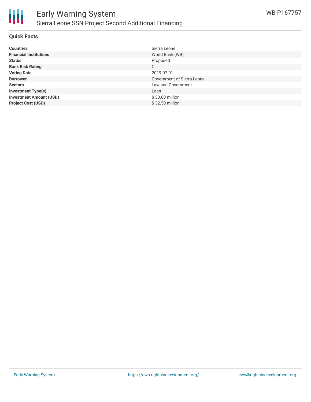

#### **Quick Facts**

| <b>Countries</b>               | Sierra Leone                      |
|--------------------------------|-----------------------------------|
| <b>Financial Institutions</b>  | World Bank (WB)                   |
| <b>Status</b>                  | Proposed                          |
| <b>Bank Risk Rating</b>        | C                                 |
| <b>Voting Date</b>             | 2019-07-01                        |
| <b>Borrower</b>                | <b>Government of Sierra Leone</b> |
| <b>Sectors</b>                 | Law and Government                |
| <b>Investment Type(s)</b>      | Loan                              |
| <b>Investment Amount (USD)</b> | $$30.00$ million                  |
| <b>Project Cost (USD)</b>      | \$32.50 million                   |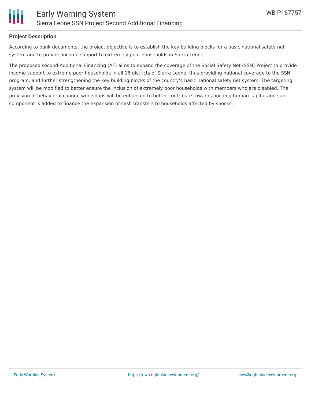

#### **Project Description**

According to bank documents, the project objective is to establish the key building blocks for a basic national safety net system and to provide income support to extremely poor households in Sierra Leone.

The proposed second Additional Financing (AF) aims to expand the coverage of the Social Safety Net (SSN) Project to provide income support to extreme poor households in all 16 districts of Sierra Leone, thus providing national coverage to the SSN program, and further strengthening the key building blocks of the country's basic national safety net system. The targeting system will be modified to better ensure the inclusion of extremely poor households with members who are disabled. The provision of behavioral change workshops will be enhanced to better contribute towards building human capital and subcomponent is added to finance the expansion of cash transfers to households affected by shocks.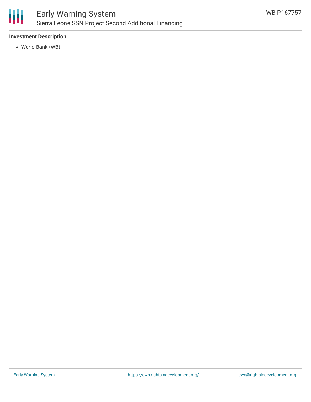

#### **Investment Description**

World Bank (WB)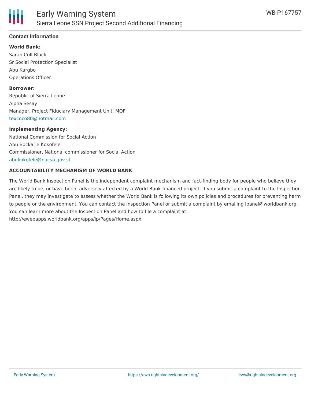

#### **Contact Information**

**World Bank:** Sarah Coll-Black Sr Social Protection Specialist Abu Kargbo Operations Officer

**Borrower:** Republic of Sierra Leone Alpha Sesay Manager, Project Fiduciary Management Unit, MOF [texcoco80@hotmail.com](mailto:texcoco80@hotmail.com)

#### **Implementing Agency:**

National Commission for Social Action Abu Bockarie Kokofele Commissioner, National commissioner for Social Action [abukokofele@nacsa.gov.sl](mailto:abukokofele@nacsa.gov.sl)

#### **ACCOUNTABILITY MECHANISM OF WORLD BANK**

The World Bank Inspection Panel is the independent complaint mechanism and fact-finding body for people who believe they are likely to be, or have been, adversely affected by a World Bank-financed project. If you submit a complaint to the Inspection Panel, they may investigate to assess whether the World Bank is following its own policies and procedures for preventing harm to people or the environment. You can contact the Inspection Panel or submit a complaint by emailing ipanel@worldbank.org. You can learn more about the Inspection Panel and how to file a complaint at: http://ewebapps.worldbank.org/apps/ip/Pages/Home.aspx.